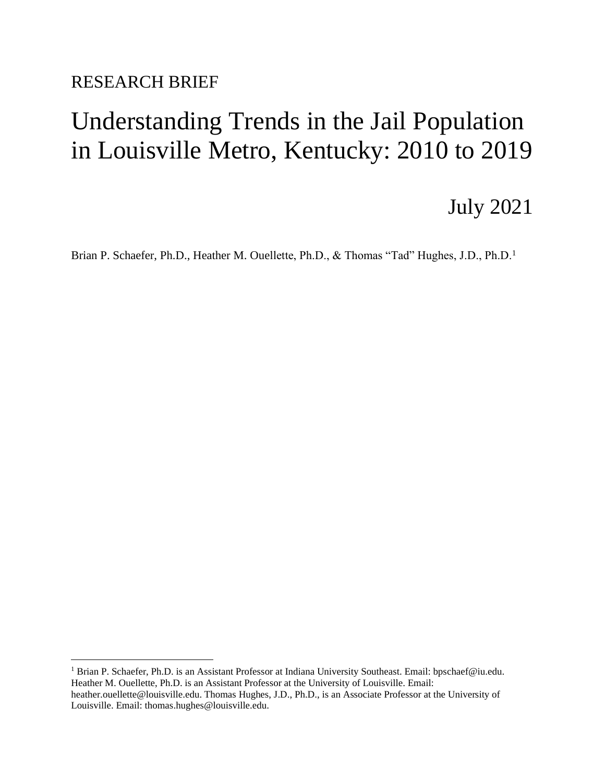RESEARCH BRIEF

# Understanding Trends in the Jail Population in Louisville Metro, Kentucky: 2010 to 2019

# July 2021

Brian P. Schaefer, Ph.D., Heather M. Ouellette, Ph.D., & Thomas "Tad" Hughes, J.D., Ph.D.<sup>1</sup>

<sup>1</sup> Brian P. Schaefer, Ph.D. is an Assistant Professor at Indiana University Southeast. Email: bpschaef@iu.edu. Heather M. Ouellette, Ph.D. is an Assistant Professor at the University of Louisville. Email: heather.ouellette@louisville.edu. Thomas Hughes, J.D., Ph.D., is an Associate Professor at the University of Louisville. Email: thomas.hughes@louisville.edu.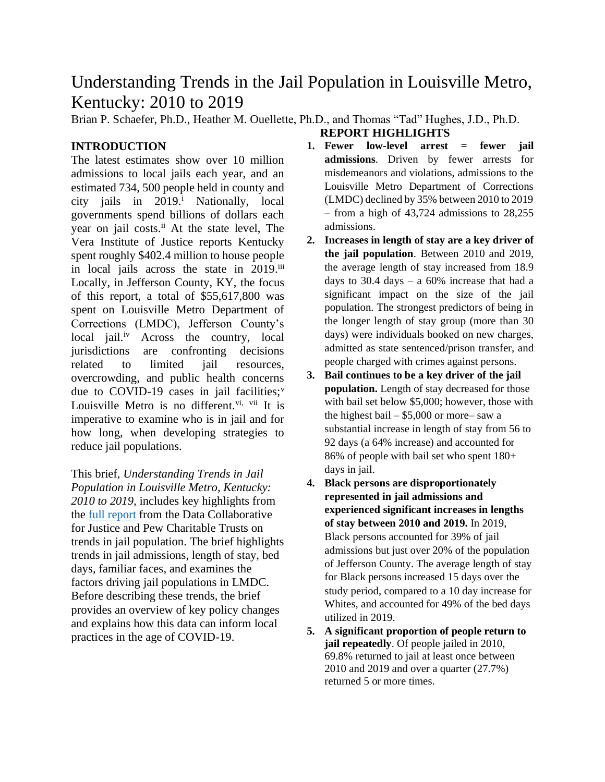# Understanding Trends in the Jail Population in Louisville Metro, Kentucky: 2010 to 2019

Brian P. Schaefer, Ph.D., Heather M. Ouellette, Ph.D., and Thomas "Tad" Hughes, J.D., Ph.D.

# **INTRODUCTION**

The latest estimates show over 10 million admissions to local jails each year, and an estimated 734, 500 people held in county and city jails in 2019.<sup>i</sup> Nationally, local governments spend billions of dollars each year on jail costs.<sup>ii</sup> At the state level, The Vera Institute of Justice reports Kentucky spent roughly \$402.4 million to house people in local jails across the state in 2019.<sup>iii</sup> Locally, in Jefferson County, KY, the focus of this report, a total of \$55,617,800 was spent on Louisville Metro Department of Corrections (LMDC), Jefferson County's local jail.<sup>iv</sup> Across the country, local jurisdictions are confronting decisions related to limited jail resources, overcrowding, and public health concerns due to COVID-19 cases in jail facilities; $v$ Louisville Metro is no different.<sup>vi, vii</sup> It is imperative to examine who is in jail and for how long, when developing strategies to reduce jail populations.

This brief, *Understanding Trends in Jail Population in Louisville Metro, Kentucky: 2010 to 2019,* includes key highlights from the [full report](https://datacollaborativeforjustice.org/wp-content/uploads/2021/07/Louisville-Final-Jail-Report-FULL_July-2021.pdf) from the Data Collaborative for Justice and Pew Charitable Trusts on trends in jail population. The brief highlights trends in jail admissions, length of stay, bed days, familiar faces, and examines the factors driving jail populations in LMDC. Before describing these trends, the brief provides an overview of key policy changes and explains how this data can inform local practices in the age of COVID-19.

**1. Fewer low-level arrest = fewer jail admissions**. Driven by fewer arrests for misdemeanors and violations, admissions to the Louisville Metro Department of Corrections (LMDC) declined by 35% between 2010 to 2019 – from a high of 43,724 admissions to 28,255 admissions.

**REPORT HIGHLIGHTS**

- **2. Increases in length of stay are a key driver of the jail population**. Between 2010 and 2019, the average length of stay increased from 18.9 days to 30.4 days – a  $60\%$  increase that had a significant impact on the size of the jail population. The strongest predictors of being in the longer length of stay group (more than 30 days) were individuals booked on new charges, admitted as state sentenced/prison transfer, and people charged with crimes against persons.
- **3. Bail continues to be a key driver of the jail population.** Length of stay decreased for those with bail set below \$5,000; however, those with the highest bail –  $$5,000$  or more– saw a substantial increase in length of stay from 56 to 92 days (a 64% increase) and accounted for 86% of people with bail set who spent 180+ days in jail.
- **4. Black persons are disproportionately represented in jail admissions and experienced significant increases in lengths of stay between 2010 and 2019.** In 2019, Black persons accounted for 39% of jail admissions but just over 20% of the population of Jefferson County. The average length of stay for Black persons increased 15 days over the study period, compared to a 10 day increase for Whites, and accounted for 49% of the bed days utilized in 2019.
- **5. A significant proportion of people return to jail repeatedly**. Of people jailed in 2010, 69.8% returned to jail at least once between 2010 and 2019 and over a quarter (27.7%) returned 5 or more times.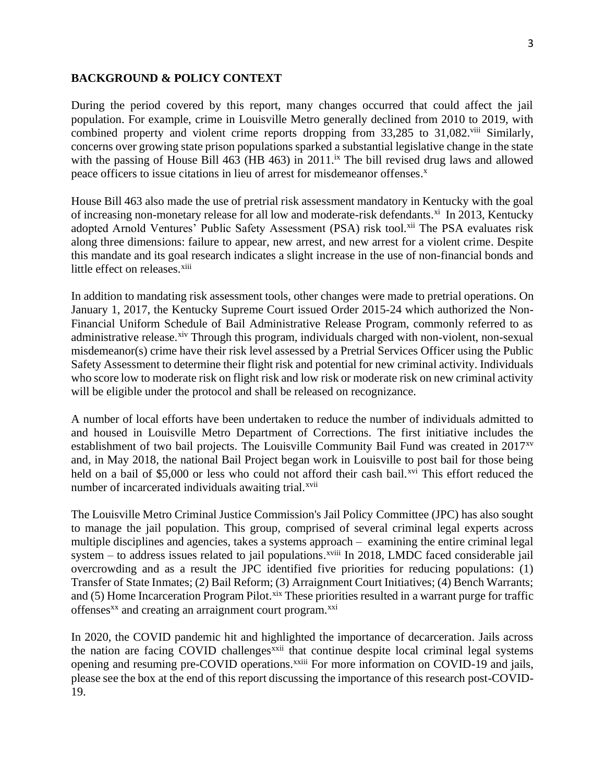# 3

### **BACKGROUND & POLICY CONTEXT**

During the period covered by this report, many changes occurred that could affect the jail population. For example, crime in Louisville Metro generally declined from 2010 to 2019, with combined property and violent crime reports dropping from 33,285 to 31,082.<sup>viii</sup> Similarly, concerns over growing state prison populations sparked a substantial legislative change in the state with the passing of House Bill 463 (HB 463) in 2011.<sup>ix</sup> The bill revised drug laws and allowed peace officers to issue citations in lieu of arrest for misdemeanor offenses.<sup>x</sup>

House Bill 463 also made the use of pretrial risk assessment mandatory in Kentucky with the goal of increasing non-monetary release for all low and moderate-risk defendants.<sup>xi</sup> In 2013, Kentucky adopted Arnold Ventures' Public Safety Assessment (PSA) risk tool.xii The PSA evaluates risk along three dimensions: failure to appear, new arrest, and new arrest for a violent crime. Despite this mandate and its goal research indicates a slight increase in the use of non-financial bonds and little effect on releases.<sup>xiii</sup>

In addition to mandating risk assessment tools, other changes were made to pretrial operations. On January 1, 2017, the Kentucky Supreme Court issued Order 2015-24 which authorized the Non-Financial Uniform Schedule of Bail Administrative Release Program, commonly referred to as administrative release.<sup>xiv</sup> Through this program, individuals charged with non-violent, non-sexual misdemeanor(s) crime have their risk level assessed by a Pretrial Services Officer using the Public Safety Assessment to determine their flight risk and potential for new criminal activity. Individuals who score low to moderate risk on flight risk and low risk or moderate risk on new criminal activity will be eligible under the protocol and shall be released on recognizance.

A number of local efforts have been undertaken to reduce the number of individuals admitted to and housed in Louisville Metro Department of Corrections. The first initiative includes the establishment of two bail projects. The Louisville Community Bail Fund was created in 2017xv and, in May 2018, the national Bail Project began work in Louisville to post bail for those being held on a bail of \$5,000 or less who could not afford their cash bail.<sup> $xvi$ </sup> This effort reduced the number of incarcerated individuals awaiting trial.<sup>xvii</sup>

The Louisville Metro Criminal Justice Commission's Jail Policy Committee (JPC) has also sought to manage the jail population. This group, comprised of several criminal legal experts across multiple disciplines and agencies, takes a systems approach – examining the entire criminal legal system – to address issues related to jail populations.<sup>xviii</sup> In 2018, LMDC faced considerable jail overcrowding and as a result the JPC identified five priorities for reducing populations: (1) Transfer of State Inmates; (2) Bail Reform; (3) Arraignment Court Initiatives; (4) Bench Warrants; and  $(5)$  Home Incarceration Program Pilot.<sup>xix</sup> These priorities resulted in a warrant purge for traffic offenses<sup>xx</sup> and creating an arraignment court program.<sup>xxi</sup>

In 2020, the COVID pandemic hit and highlighted the importance of decarceration. Jails across the nation are facing COVID challenges<sup>xxii</sup> that continue despite local criminal legal systems opening and resuming pre-COVID operations.<sup>xxiii</sup> For more information on COVID-19 and jails, please see the box at the end of this report discussing the importance of this research post-COVID-19.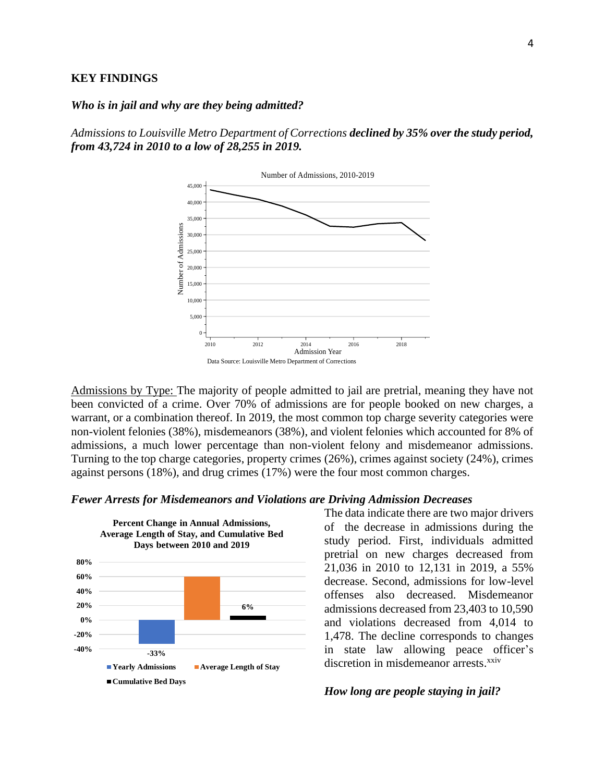#### **KEY FINDINGS**

### *Who is in jail and why are they being admitted?*

*Admissions to Louisville Metro Department of Corrections declined by 35% over the study period, from 43,724 in 2010 to a low of 28,255 in 2019.* 



Admissions by Type: The majority of people admitted to jail are pretrial, meaning they have not been convicted of a crime. Over 70% of admissions are for people booked on new charges, a warrant, or a combination thereof. In 2019, the most common top charge severity categories were non-violent felonies (38%), misdemeanors (38%), and violent felonies which accounted for 8% of admissions, a much lower percentage than non-violent felony and misdemeanor admissions. Turning to the top charge categories, property crimes (26%), crimes against society (24%), crimes against persons (18%), and drug crimes (17%) were the four most common charges.

### *Fewer Arrests for Misdemeanors and Violations are Driving Admission Decreases*



The data indicate there are two major drivers of the decrease in admissions during the study period. First, individuals admitted pretrial on new charges decreased from 21,036 in 2010 to 12,131 in 2019, a 55% decrease. Second, admissions for low-level offenses also decreased. Misdemeanor admissions decreased from 23,403 to 10,590 and violations decreased from 4,014 to 1,478. The decline corresponds to changes in state law allowing peace officer's discretion in misdemeanor arrests.<sup>xxiv</sup>

### *How long are people staying in jail?*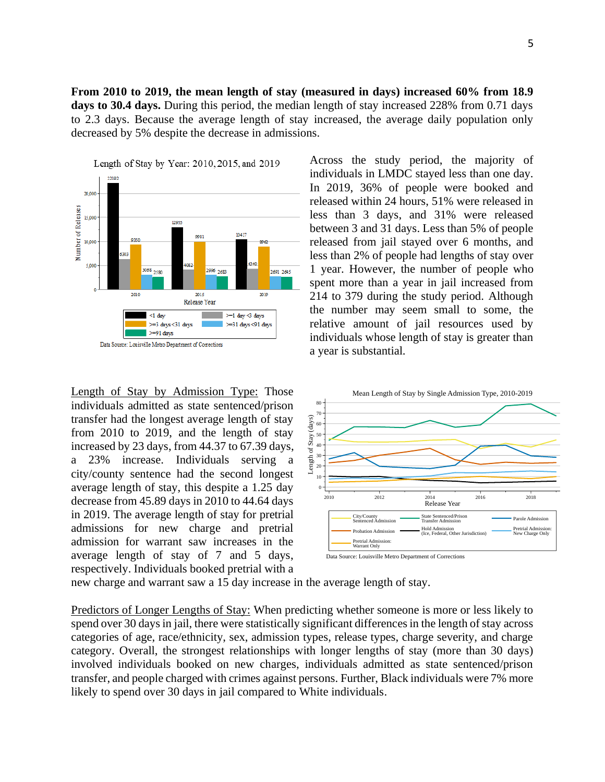**From 2010 to 2019, the mean length of stay (measured in days) increased 60% from 18.9 days to 30.4 days.** During this period, the median length of stay increased 228% from 0.71 days to 2.3 days. Because the average length of stay increased, the average daily population only decreased by 5% despite the decrease in admissions.



Length of Stay by Admission Type: Those individuals admitted as state sentenced/prison transfer had the longest average length of stay from 2010 to 2019, and the length of stay increased by 23 days, from 44.37 to 67.39 days, a 23% increase. Individuals serving a city/county sentence had the second longest average length of stay, this despite a 1.25 day decrease from 45.89 days in 2010 to 44.64 days in 2019. The average length of stay for pretrial admissions for new charge and pretrial admission for warrant saw increases in the average length of stay of 7 and 5 days, respectively. Individuals booked pretrial with a

Across the study period, the majority of individuals in LMDC stayed less than one day. In 2019, 36% of people were booked and released within 24 hours, 51% were released in less than 3 days, and 31% were released between 3 and 31 days. Less than 5% of people released from jail stayed over 6 months, and less than 2% of people had lengths of stay over 1 year. However, the number of people who spent more than a year in jail increased from 214 to 379 during the study period. Although the number may seem small to some, the relative amount of jail resources used by individuals whose length of stay is greater than a year is substantial.



new charge and warrant saw a 15 day increase in the average length of stay.

Predictors of Longer Lengths of Stay: When predicting whether someone is more or less likely to spend over 30 days in jail, there were statistically significant differences in the length of stay across categories of age, race/ethnicity, sex, admission types, release types, charge severity, and charge category. Overall, the strongest relationships with longer lengths of stay (more than 30 days) involved individuals booked on new charges, individuals admitted as state sentenced/prison transfer, and people charged with crimes against persons. Further, Black individuals were 7% more likely to spend over 30 days in jail compared to White individuals.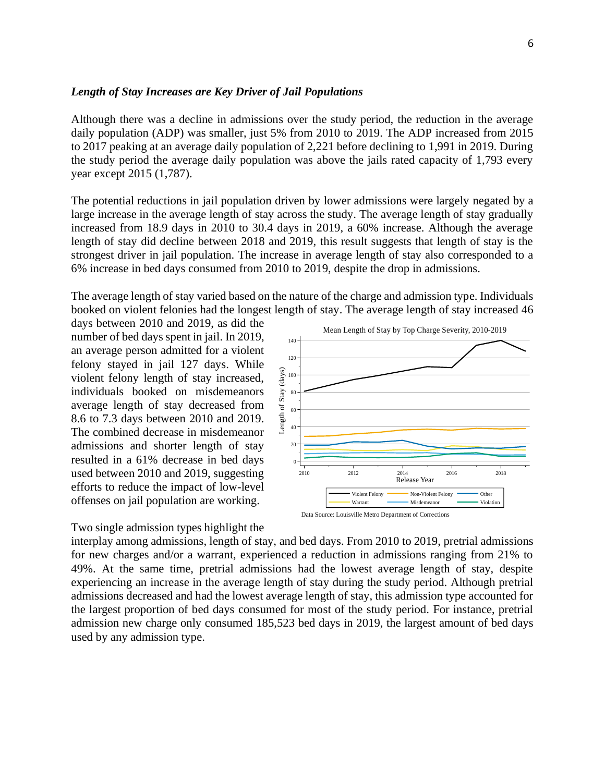### *Length of Stay Increases are Key Driver of Jail Populations*

Although there was a decline in admissions over the study period, the reduction in the average daily population (ADP) was smaller, just 5% from 2010 to 2019. The ADP increased from 2015 to 2017 peaking at an average daily population of 2,221 before declining to 1,991 in 2019. During the study period the average daily population was above the jails rated capacity of 1,793 every year except 2015 (1,787).

The potential reductions in jail population driven by lower admissions were largely negated by a large increase in the average length of stay across the study. The average length of stay gradually increased from 18.9 days in 2010 to 30.4 days in 2019, a 60% increase. Although the average length of stay did decline between 2018 and 2019, this result suggests that length of stay is the strongest driver in jail population. The increase in average length of stay also corresponded to a 6% increase in bed days consumed from 2010 to 2019, despite the drop in admissions.

The average length of stay varied based on the nature of the charge and admission type. Individuals booked on violent felonies had the longest length of stay. The average length of stay increased 46

days between 2010 and 2019, as did the number of bed days spent in jail. In 2019, an average person admitted for a violent felony stayed in jail 127 days. While violent felony length of stay increased, individuals booked on misdemeanors average length of stay decreased from 8.6 to 7.3 days between 2010 and 2019. The combined decrease in misdemeanor admissions and shorter length of stay resulted in a 61% decrease in bed days used between 2010 and 2019, suggesting efforts to reduce the impact of low-level offenses on jail population are working.

Two single admission types highlight the





interplay among admissions, length of stay, and bed days. From 2010 to 2019, pretrial admissions for new charges and/or a warrant, experienced a reduction in admissions ranging from 21% to 49%. At the same time, pretrial admissions had the lowest average length of stay, despite experiencing an increase in the average length of stay during the study period. Although pretrial admissions decreased and had the lowest average length of stay, this admission type accounted for the largest proportion of bed days consumed for most of the study period. For instance, pretrial admission new charge only consumed 185,523 bed days in 2019, the largest amount of bed days used by any admission type.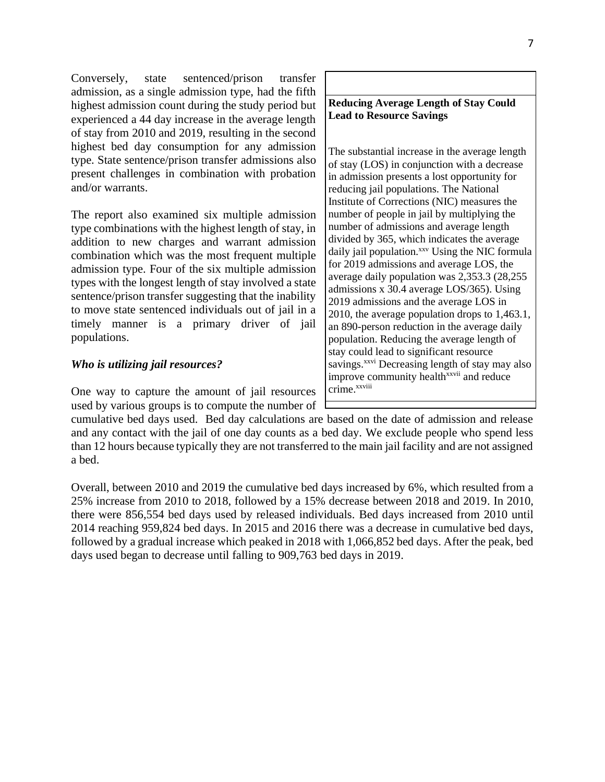Conversely, state sentenced/prison transfer admission, as a single admission type, had the fifth highest admission count during the study period but experienced a 44 day increase in the average length of stay from 2010 and 2019, resulting in the second highest bed day consumption for any admission type. State sentence/prison transfer admissions also present challenges in combination with probation and/or warrants.

The report also examined six multiple admission type combinations with the highest length of stay, in addition to new charges and warrant admission combination which was the most frequent multiple admission type. Four of the six multiple admission types with the longest length of stay involved a state sentence/prison transfer suggesting that the inability to move state sentenced individuals out of jail in a timely manner is a primary driver of jail populations.

### *Who is utilizing jail resources?*

One way to capture the amount of jail resources used by various groups is to compute the number of

**Lead to Resource Savings** The substantial increase in the average length of stay (LOS) in conjunction with a decrease in admission presents a lost opportunity for reducing jail populations. The National Institute of Corrections (NIC) measures the number of people in jail by multiplying the number of admissions and average length divided by 365, which indicates the average daily jail population.<sup>xxv</sup> Using the NIC formula for 2019 admissions and average LOS, the average daily population was 2,353.3 (28,255 admissions x 30.4 average LOS/365). Using 2019 admissions and the average LOS in 2010, the average population drops to 1,463.1, an 890-person reduction in the average daily population. Reducing the average length of stay could lead to significant resource savings.<sup>xxvi</sup> Decreasing length of stay may also improve community health<sup>xxvii</sup> and reduce crime. xxviii

cumulative bed days used. Bed day calculations are based on the date of admission and release and any contact with the jail of one day counts as a bed day. We exclude people who spend less than 12 hours because typically they are not transferred to the main jail facility and are not assigned a bed.

Overall, between 2010 and 2019 the cumulative bed days increased by 6%, which resulted from a 25% increase from 2010 to 2018, followed by a 15% decrease between 2018 and 2019. In 2010, there were 856,554 bed days used by released individuals. Bed days increased from 2010 until 2014 reaching 959,824 bed days. In 2015 and 2016 there was a decrease in cumulative bed days, followed by a gradual increase which peaked in 2018 with 1,066,852 bed days. After the peak, bed days used began to decrease until falling to 909,763 bed days in 2019.

# **Reducing Average Length of Stay Could**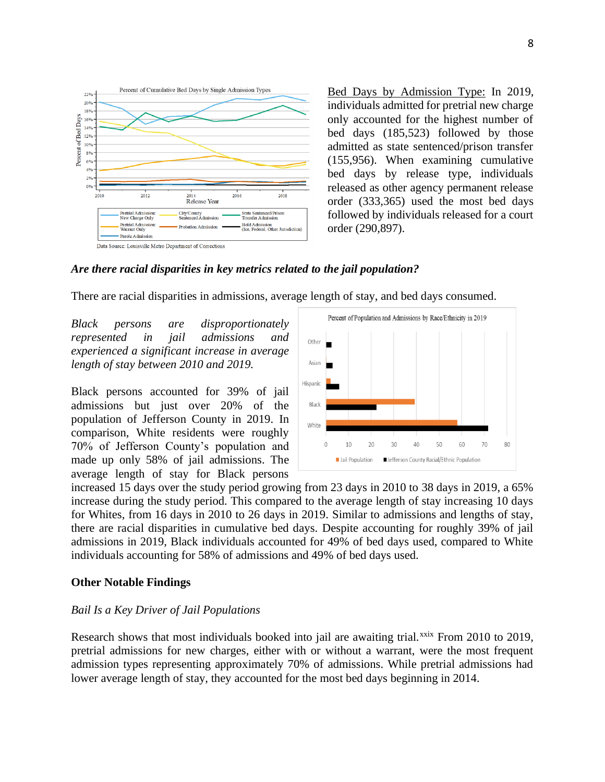

Bed Days by Admission Type: In 2019, individuals admitted for pretrial new charge only accounted for the highest number of bed days (185,523) followed by those admitted as state sentenced/prison transfer (155,956). When examining cumulative bed days by release type, individuals released as other agency permanent release order (333,365) used the most bed days followed by individuals released for a court order (290,897).

### *Are there racial disparities in key metrics related to the jail population?*

There are racial disparities in admissions, average length of stay, and bed days consumed.

*Black persons are disproportionately represented in jail admissions and experienced a significant increase in average length of stay between 2010 and 2019.* 

Black persons accounted for 39% of jail admissions but just over 20% of the population of Jefferson County in 2019. In comparison, White residents were roughly 70% of Jefferson County's population and made up only 58% of jail admissions. The average length of stay for Black persons



increased 15 days over the study period growing from 23 days in 2010 to 38 days in 2019, a 65% increase during the study period. This compared to the average length of stay increasing 10 days for Whites, from 16 days in 2010 to 26 days in 2019. Similar to admissions and lengths of stay, there are racial disparities in cumulative bed days. Despite accounting for roughly 39% of jail admissions in 2019, Black individuals accounted for 49% of bed days used, compared to White individuals accounting for 58% of admissions and 49% of bed days used.

### **Other Notable Findings**

#### *Bail Is a Key Driver of Jail Populations*

Research shows that most individuals booked into jail are awaiting trial.xxix From 2010 to 2019, pretrial admissions for new charges, either with or without a warrant, were the most frequent admission types representing approximately 70% of admissions. While pretrial admissions had lower average length of stay, they accounted for the most bed days beginning in 2014.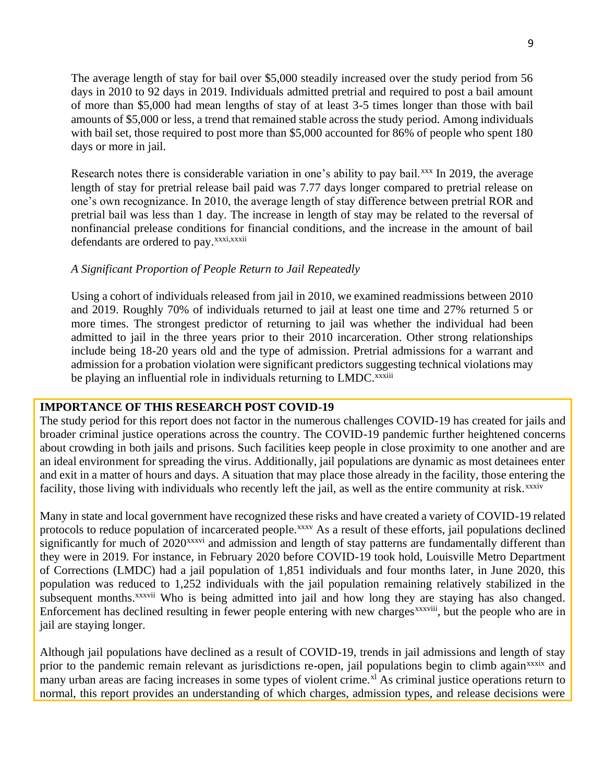The average length of stay for bail over \$5,000 steadily increased over the study period from 56 days in 2010 to 92 days in 2019. Individuals admitted pretrial and required to post a bail amount of more than \$5,000 had mean lengths of stay of at least 3-5 times longer than those with bail amounts of \$5,000 or less, a trend that remained stable across the study period. Among individuals with bail set, those required to post more than \$5,000 accounted for 86% of people who spent 180 days or more in jail.

Research notes there is considerable variation in one's ability to pay bail.xxx In 2019, the average length of stay for pretrial release bail paid was 7.77 days longer compared to pretrial release on one's own recognizance. In 2010, the average length of stay difference between pretrial ROR and pretrial bail was less than 1 day. The increase in length of stay may be related to the reversal of nonfinancial prelease conditions for financial conditions, and the increase in the amount of bail defendants are ordered to pay.<sup>xxxi,xxxii</sup>

### *A Significant Proportion of People Return to Jail Repeatedly*

Using a cohort of individuals released from jail in 2010, we examined readmissions between 2010 and 2019. Roughly 70% of individuals returned to jail at least one time and 27% returned 5 or more times. The strongest predictor of returning to jail was whether the individual had been admitted to jail in the three years prior to their 2010 incarceration. Other strong relationships include being 18-20 years old and the type of admission. Pretrial admissions for a warrant and admission for a probation violation were significant predictors suggesting technical violations may be playing an influential role in individuals returning to LMDC.<sup>xxxiii</sup>

## **IMPORTANCE OF THIS RESEARCH POST COVID-19**

The study period for this report does not factor in the numerous challenges COVID-19 has created for jails and broader criminal justice operations across the country. The COVID-19 pandemic further heightened concerns about crowding in both jails and prisons. Such facilities keep people in close proximity to one another and are an ideal environment for spreading the virus. Additionally, jail populations are dynamic as most detainees enter and exit in a matter of hours and days. A situation that may place those already in the facility, those entering the facility, those living with individuals who recently left the jail, as well as the entire community at risk.<sup>xxxiv</sup>

Many in state and local government have recognized these risks and have created a variety of COVID-19 related protocols to reduce population of incarcerated people.<sup>xxxv</sup> As a result of these efforts, jail populations declined significantly for much of 2020<sup>xxxvi</sup> and admission and length of stay patterns are fundamentally different than they were in 2019. For instance, in February 2020 before COVID-19 took hold, Louisville Metro Department of Corrections (LMDC) had a jail population of 1,851 individuals and four months later, in June 2020, this population was reduced to 1,252 individuals with the jail population remaining relatively stabilized in the subsequent months.<sup>xxxvii</sup> Who is being admitted into jail and how long they are staying has also changed. Enforcement has declined resulting in fewer people entering with new charges<sup>xxxviii</sup>, but the people who are in jail are staying longer.

Although jail populations have declined as a result of COVID-19, trends in jail admissions and length of stay prior to the pandemic remain relevant as jurisdictions re-open, jail populations begin to climb again<sup>xxxix</sup> and many urban areas are facing increases in some types of violent crime.<sup>xl</sup> As criminal justice operations return to normal, this report provides an understanding of which charges, admission types, and release decisions were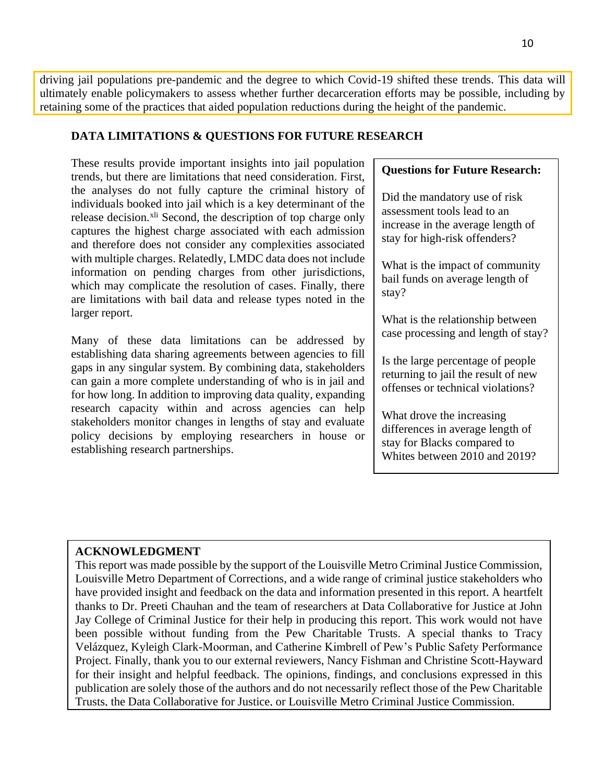driving jail populations pre-pandemic and the degree to which Covid-19 shifted these trends. This data will ultimately enable policymakers to assess whether further decarceration efforts may be possible, including by retaining some of the practices that aided population reductions during the height of the pandemic.

### **DATA LIMITATIONS & QUESTIONS FOR FUTURE RESEARCH**

These results provide important insights into jail population trends, but there are limitations that need consideration. First, the analyses do not fully capture the criminal history of individuals booked into jail which is a key determinant of the release decision.<sup>xli</sup> Second, the description of top charge only captures the highest charge associated with each admission and therefore does not consider any complexities associated with multiple charges. Relatedly, LMDC data does not include information on pending charges from other jurisdictions, which may complicate the resolution of cases. Finally, there are limitations with bail data and release types noted in the larger report.

Many of these data limitations can be addressed by establishing data sharing agreements between agencies to fill gaps in any singular system. By combining data, stakeholders can gain a more complete understanding of who is in jail and for how long. In addition to improving data quality, expanding research capacity within and across agencies can help stakeholders monitor changes in lengths of stay and evaluate policy decisions by employing researchers in house or establishing research partnerships.

### **Questions for Future Research:**

Did the mandatory use of risk assessment tools lead to an increase in the average length of stay for high-risk offenders?

What is the impact of community bail funds on average length of stay?

What is the relationship between case processing and length of stay?

Is the large percentage of people returning to jail the result of new offenses or technical violations?

What drove the increasing differences in average length of stay for Blacks compared to Whites between 2010 and 2019?

## **ACKNOWLEDGMENT**

This report was made possible by the support of the Louisville Metro Criminal Justice Commission, Louisville Metro Department of Corrections, and a wide range of criminal justice stakeholders who have provided insight and feedback on the data and information presented in this report. A heartfelt thanks to Dr. Preeti Chauhan and the team of researchers at Data Collaborative for Justice at John Jay College of Criminal Justice for their help in producing this report. This work would not have been possible without funding from the Pew Charitable Trusts. A special thanks to Tracy Velázquez, Kyleigh Clark-Moorman, and Catherine Kimbrell of Pew's Public Safety Performance Project. Finally, thank you to our external reviewers, Nancy Fishman and Christine Scott-Hayward for their insight and helpful feedback. The opinions, findings, and conclusions expressed in this publication are solely those of the authors and do not necessarily reflect those of the Pew Charitable Trusts, the Data Collaborative for Justice, or Louisville Metro Criminal Justice Commission.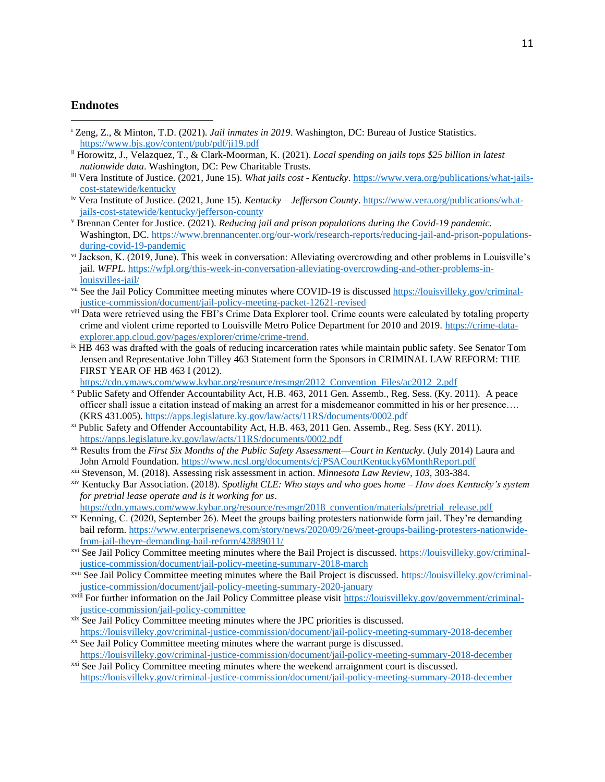### **Endnotes**

- <sup>i</sup> Zeng, Z., & Minton, T.D. (2021). *Jail inmates in 2019*. Washington, DC: Bureau of Justice Statistics. <https://www.bjs.gov/content/pub/pdf/ji19.pdf>
- ii Horowitz, J., Velazquez, T., & Clark-Moorman, K. (2021). *Local spending on jails tops \$25 billion in latest nationwide data*. Washington, DC: Pew Charitable Trusts.
- iii Vera Institute of Justice. (2021, June 15). *What jails cost - Kentucky*[. https://www.vera.org/publications/what-jails](https://www.vera.org/publications/what-jails-cost-statewide/kentucky)[cost-statewide/kentucky](https://www.vera.org/publications/what-jails-cost-statewide/kentucky)
- iv Vera Institute of Justice. (2021, June 15). *Kentucky – Jefferson County*[. https://www.vera.org/publications/what](https://www.vera.org/publications/what-jails-cost-statewide/kentucky/jefferson-county)[jails-cost-statewide/kentucky/jefferson-county](https://www.vera.org/publications/what-jails-cost-statewide/kentucky/jefferson-county)
- <sup>v</sup> Brennan Center for Justice. (2021). *Reducing jail and prison populations during the Covid-19 pandemic.*  Washington, DC. [https://www.brennancenter.org/our-work/research-reports/reducing-jail-and-prison-populations](https://www.brennancenter.org/our-work/research-reports/reducing-jail-and-prison-populations-during-covid-19-pandemic)[during-covid-19-pandemic](https://www.brennancenter.org/our-work/research-reports/reducing-jail-and-prison-populations-during-covid-19-pandemic)
- vi Jackson, K. (2019, June). This week in conversation: Alleviating overcrowding and other problems in Louisville's jail. *WFPL.* [https://wfpl.org/this-week-in-conversation-alleviating-overcrowding-and-other-problems-in](https://wfpl.org/this-week-in-conversation-alleviating-overcrowding-and-other-problems-in-louisvilles-jail/)[louisvilles-jail/](https://wfpl.org/this-week-in-conversation-alleviating-overcrowding-and-other-problems-in-louisvilles-jail/)
- vii See the Jail Policy Committee meeting minutes where COVID-19 is discusse[d https://louisvilleky.gov/criminal](https://louisvilleky.gov/criminal-justice-commission/document/jail-policy-meeting-packet-12621-revised)[justice-commission/document/jail-policy-meeting-packet-12621-revised](https://louisvilleky.gov/criminal-justice-commission/document/jail-policy-meeting-packet-12621-revised)
- viii Data were retrieved using the FBI's Crime Data Explorer tool. Crime counts were calculated by totaling property crime and violent crime reported to Louisville Metro Police Department for 2010 and 2019. [https://crime-data](https://crime-data-explorer.app.cloud.gov/pages/explorer/crime/crime-trend)[explorer.app.cloud.gov/pages/explorer/crime/crime-trend.](https://crime-data-explorer.app.cloud.gov/pages/explorer/crime/crime-trend)
- <sup>ix</sup> HB 463 was drafted with the goals of reducing incarceration rates while maintain public safety. See Senator Tom Jensen and Representative John Tilley 463 Statement form the Sponsors in CRIMINAL LAW REFORM: THE FIRST YEAR OF HB 463 I (2012).

[https://cdn.ymaws.com/www.kybar.org/resource/resmgr/2012\\_Convention\\_Files/ac2012\\_2.pdf](https://cdn.ymaws.com/www.kybar.org/resource/resmgr/2012_Convention_Files/ac2012_2.pdf)

- <sup>x</sup> Public Safety and Offender Accountability Act, H.B. 463, 2011 Gen. Assemb., Reg. Sess. (Ky. 2011). A peace officer shall issue a citation instead of making an arrest for a misdemeanor committed in his or her presence…. (KRS 431.005). <https://apps.legislature.ky.gov/law/acts/11RS/documents/0002.pdf>
- xi Public Safety and Offender Accountability Act, H.B. 463, 2011 Gen. Assemb., Reg. Sess (KY. 2011). <https://apps.legislature.ky.gov/law/acts/11RS/documents/0002.pdf>
- xii Results from the *First Six Months of the Public Safety Assessment—Court in Kentucky*. (July 2014) Laura and John Arnold Foundation.<https://www.ncsl.org/documents/cj/PSACourtKentucky6MonthReport.pdf>
- xiii Stevenson, M. (2018). Assessing risk assessment in action. *Minnesota Law Review, 103,* 303-384.
- xiv Kentucky Bar Association. (2018). *Spotlight CLE: Who stays and who goes home – How does Kentucky's system for pretrial lease operate and is it working for us*.
- [https://cdn.ymaws.com/www.kybar.org/resource/resmgr/2018\\_convention/materials/pretrial\\_release.pdf](https://cdn.ymaws.com/www.kybar.org/resource/resmgr/2018_convention/materials/pretrial_release.pdf)
- xv Kenning, C. (2020, September 26). Meet the groups bailing protesters nationwide form jail. They're demanding bail reform[. https://www.enterprisenews.com/story/news/2020/09/26/meet-groups-bailing-protesters-nationwide](https://www.enterprisenews.com/story/news/2020/09/26/meet-groups-bailing-protesters-nationwide-from-jail-theyre-demanding-bail-reform/42889011/)[from-jail-theyre-demanding-bail-reform/42889011/](https://www.enterprisenews.com/story/news/2020/09/26/meet-groups-bailing-protesters-nationwide-from-jail-theyre-demanding-bail-reform/42889011/)
- xvi See Jail Policy Committee meeting minutes where the Bail Project is discussed. [https://louisvilleky.gov/criminal](https://louisvilleky.gov/criminal-justice-commission/document/jail-policy-meeting-summary-2018-march)[justice-commission/document/jail-policy-meeting-summary-2018-march](https://louisvilleky.gov/criminal-justice-commission/document/jail-policy-meeting-summary-2018-march)
- xvii See Jail Policy Committee meeting minutes where the Bail Project is discussed. [https://louisvilleky.gov/criminal](https://louisvilleky.gov/criminal-justice-commission/document/jail-policy-meeting-summary-2020-january)[justice-commission/document/jail-policy-meeting-summary-2020-january](https://louisvilleky.gov/criminal-justice-commission/document/jail-policy-meeting-summary-2020-january)
- xviii For further information on the Jail Policy Committee please visit [https://louisvilleky.gov/government/criminal](https://louisvilleky.gov/government/criminal-justice-commission/jail-policy-committee)[justice-commission/jail-policy-committee](https://louisvilleky.gov/government/criminal-justice-commission/jail-policy-committee)
- xix See Jail Policy Committee meeting minutes where the JPC priorities is discussed. <https://louisvilleky.gov/criminal-justice-commission/document/jail-policy-meeting-summary-2018-december>
- xx See Jail Policy Committee meeting minutes where the warrant purge is discussed. <https://louisvilleky.gov/criminal-justice-commission/document/jail-policy-meeting-summary-2018-december>
- xxi See Jail Policy Committee meeting minutes where the weekend arraignment court is discussed. <https://louisvilleky.gov/criminal-justice-commission/document/jail-policy-meeting-summary-2018-december>